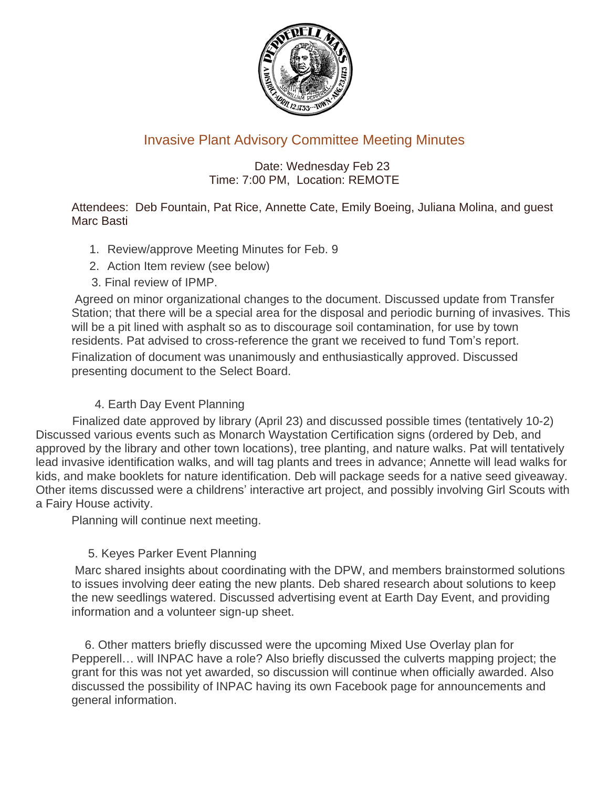

# Invasive Plant Advisory Committee Meeting Minutes

## Date: Wednesday Feb 23 Time: 7:00 PM, Location: REMOTE

#### Attendees: Deb Fountain, Pat Rice, Annette Cate, Emily Boeing, Juliana Molina, and guest Marc Basti

- 1. Review/approve Meeting Minutes for Feb. 9
- 2. Action Item review (see below)
- 3. Final review of IPMP.

Agreed on minor organizational changes to the document. Discussed update from Transfer Station; that there will be a special area for the disposal and periodic burning of invasives. This will be a pit lined with asphalt so as to discourage soil contamination, for use by town residents. Pat advised to cross-reference the grant we received to fund Tom's report. Finalization of document was unanimously and enthusiastically approved. Discussed presenting document to the Select Board.

# 4. Earth Day Event Planning

 Finalized date approved by library (April 23) and discussed possible times (tentatively 10-2) Discussed various events such as Monarch Waystation Certification signs (ordered by Deb, and approved by the library and other town locations), tree planting, and nature walks. Pat will tentatively lead invasive identification walks, and will tag plants and trees in advance; Annette will lead walks for kids, and make booklets for nature identification. Deb will package seeds for a native seed giveaway. Other items discussed were a childrens' interactive art project, and possibly involving Girl Scouts with a Fairy House activity.

Planning will continue next meeting.

### 5. Keyes Parker Event Planning

Marc shared insights about coordinating with the DPW, and members brainstormed solutions to issues involving deer eating the new plants. Deb shared research about solutions to keep the new seedlings watered. Discussed advertising event at Earth Day Event, and providing information and a volunteer sign-up sheet.

 6. Other matters briefly discussed were the upcoming Mixed Use Overlay plan for Pepperell… will INPAC have a role? Also briefly discussed the culverts mapping project; the grant for this was not yet awarded, so discussion will continue when officially awarded. Also discussed the possibility of INPAC having its own Facebook page for announcements and general information.